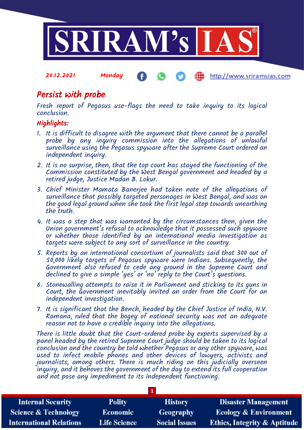

#### 20.12.2021 Monday http://www.sriramsias.com

# Persist with probe

Fresh report of Pegasus use-flags the need to take inquiry to its logical conclusion.

## Highlights:

- 1. It is difficult to disagree with the argument that there cannot be a parallel probe by any inquiry commission into the allegations of unlawful surveillance using the Pegasus spyware after the Supreme Court ordered an independent inquiry.
- 2. It is no surprise, then, that the top court has stayed the functioning of the Commission constituted by the West Bengal government and headed by a retired judge, Justice Madan B. Lokur.
- 3. Chief Minister Mamata Banerjee had taken note of the allegations of surveillance that possibly targeted personages in West Bengal, and was on the good legal ground when she took the first legal step towards unearthing the truth.
- 4. It was a step that was warranted by the circumstances then, given the Union government's refusal to acknowledge that it possessed such spyware or whether those identified by an international media investigation as targets were subject to any sort of surveillance in the country.
- 5. Reports by an international consortium of journalists said that 300 out of 50,000 likely targets of Pegasus spyware were Indians. Subsequently, the Government also refused to cede any ground in the supreme Court and declined to give a simple 'yes' or 'no' reply to the Court's questions.
- 6. Stonewalling attempts to raise it in Parliament and sticking to its guns in Court, the Government inevitably invited an order from the Court for an independent investigation.
- 7. It is significant that the Bench, headed by the Chief Justice of India, N.V. Ramana, ruled that the bogey of national security was not an adequate reason not to have a credible inquiry into the allegations.

There is little doubt that the Court-ordered probe by experts supervised by a panel headed by the retired Supreme Court judge should be taken to its logical conclusion and the country be told whether Pegasus or any other spyware, was used to infect mobile phones and other devices of lawyers, activists and journalists, among others. There is much riding on this judicially overseen inquiry, and it behoves the government of the day to extend its full cooperation  $\,$ and not pose any impediment to its independent functioning.

| <b>Internal Security</b>        | <b>Polity</b>       | <b>History</b>       | <b>Disaster Management</b>              |  |  |
|---------------------------------|---------------------|----------------------|-----------------------------------------|--|--|
| <b>Science &amp; Technology</b> | <b>Economic</b>     | Geography            | <b>Ecology &amp; Environment</b>        |  |  |
| <b>International Relations</b>  | <b>Life Science</b> | <b>Social Issues</b> | <b>Ethics, Integrity &amp; Aptitude</b> |  |  |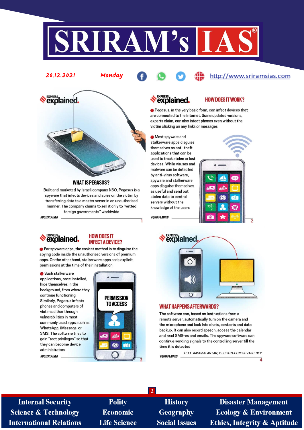



Monday

**WHAT IS PEGASUS?** 

Built and marketed by Israeli company NSO, Pegasus is a spyware that infects devices and spies on the victim by transferring data to a master server in an unauthorised manner. The company claims to sell it only to "vetted foreign governments" worldwide

#OUIXPLAINED



20.12.2021

#### **HOW DOES IT INFECT A DEVICE?**

G For spyware apps, the easiest method is to disguise the spying code inside the unauthorised versions of premium apps. On the other hand, stalkerware apps seek explicit permissions at the time of their installation

Such stalkerware

applications, once installed, hide themselves in the background, from where they continue functioning. Similarly, Pegasus infects phones and computers of victims either through vulnerabilities in most commonly used apps such as WhatsApp, iMessage, or SMS. The software tries to gain "root privileges" so that they can become device administrators #OUIXPLAINED



# *<u><b>SPRESS</u>*

#### **HOW DOES IT WORK?**

http://www.sriramsias.com

e Pegasus, in the very basic form, can infect devices that are connected to the internet. Some updated versions, experts claim, can also infect phones even without the victim clicking on any links or messages

Most spyware and stalkerware apps disquise themselves as anti-theft applications that can be used to track stolen or lost devices. While viruses and malware can be detected by anti-virus software, spyware and stalkerware apps disguise themselves as useful and send out stolen data to central servers without the knowledge of the users

#OUIXPLAINED



**express**<br> **explained**  $\circ$ D)  $\cap$ 

#### **WHAT HAPPENS AFTERWARDS?**

The software can, based on instructions from a remote server, automatically turn on the camera and the microphone and look into chats, contacts and data backup. It can also record speech, access the calendar and read SMS-es and emails. The spyware software can continue sending signals to the controlling server till the time it is detected

TEXT: AASHISH ARYAN; ILLUSTRATION: SUVAJIT DEY #OUIXPLAINED

**Internal Security Science & Technology International Relations** 

**Polity** Economic **Life Science** 

**History Geography Social Issues** 

 $\overline{2}$ 

**Disaster Management Ecology & Environment Ethics, Integrity & Aptitude** 

 $\overline{4}$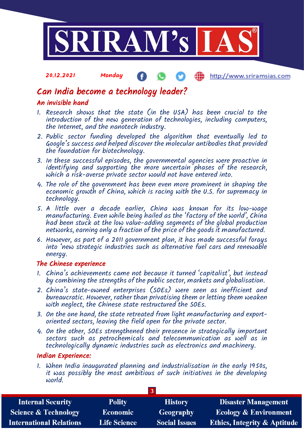

#### 20.12.2021 Monday http://www.sriramsias.com æ

# Can India become a technology leader?

## An invisible hand

- 1. Research shows that the state (in the USA) has been crucial to the introduction of the new generation of technologies, including computers, the Internet, and the nanotech industry.
- 2. Public sector funding developed the algorithm that eventually led to Google's success and helped discover the molecular antibodies that provided the foundation for biotechnology.
- 3. In these successful episodes, the governmental agencies were proactive in identifying and supporting the more uncertain phases of the research, which a risk-averse private sector would not have entered into.
- 4. The role of the government has been even more prominent in shaping the economic growth of China, which is racing with the U.S. for supremacy in technology.
- 5. A little over a decade earlier, China was known for its low-wage manufacturing. Even while being hailed as the 'factory of the world', China had been stuck at the low value-adding segments of the global production networks, earning only a fraction of the price of the goods it manufactured.
- 6. However, as part of a 2011 government plan, it has made successful forays into 'new strategic industries such as alternative fuel cars and renewable energy.

### The Chinese experience

- 1. China's achievements came not because it turned 'capitalist', but instead by combining the strengths of the public sector, markets and globalisation.
- 2. China's state-owned enterprises (SOEs) were seen as inefficient and bureaucratic. However, rather than privatising them or letting them weaken with neglect, the Chinese state restructured the SOEs.
- 3. On the one hand, the state retreated from light manufacturing and exportoriented sectors, leaving the field open for the private sector.
- 4. On the other, SOEs strengthened their presence in strategically important sectors such as petrochemicals and telecommunication as well as in technologically dynamic industries such as electronics and machinery.

## Indian Experience:

1. When India inaugurated planning and industrialisation in the early 1950s, it was possibly the most ambitious of such initiatives in the developing world.

| <b>Internal Security</b>        | <b>Polity</b>       | <b>History</b>       | <b>Disaster Management</b>              |  |  |  |
|---------------------------------|---------------------|----------------------|-----------------------------------------|--|--|--|
| <b>Science &amp; Technology</b> | <b>Economic</b>     | <b>Geography</b>     | <b>Ecology &amp; Environment</b>        |  |  |  |
| <b>International Relations</b>  | <b>Life Science</b> | <b>Social Issues</b> | <b>Ethics, Integrity &amp; Aptitude</b> |  |  |  |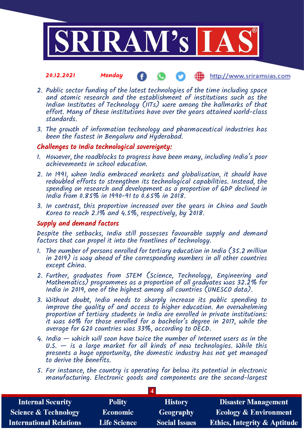

#### 20.12.2021 Monday **(iii)** http://www.sriramsias.com

- 2. Public sector funding of the latest technologies of the time including space and atomic research and the establishment of institutions such as the Indian Institutes of Technology (IITs) were among the hallmarks of that effort. Many of these institutions have over the years attained world-class standards.
- 3. The growth of information technology and pharmaceutical industries has been the fastest in Bengaluru and Hyderabad.

### Challenges to India technological sovereignty:

- 1. However, the roadblocks to progress have been many, including India's poor achievements in school education.
- 2. In 1991, when India embraced markets and globalisation, it should have redoubled efforts to strengthen its technological capabilities. Instead, the spending on research and development as a proportion of GDP declined in India from 0.85% in 1990-91 to 0.65% in 2018.
- 3. In contrast, this proportion increased over the years in China and South Korea to reach 2.1% and 4.5%, respectively, by 2018.

### Supply and demand factors

Despite the setbacks, India still possesses favourable supply and demand factors that can propel it into the frontlines of technology.

- 1. The number of persons enrolled for tertiary education in India (35.2 million in 2019) is way ahead of the corresponding numbers in all other countries except China.
- 2. Further, graduates from STEM (Science, Technology, Engineering and Mathematics) programmes as a proportion of all graduates was 32.2% for India in 2019, one of the highest among all countries (UNESCO data).
- 3. Without doubt, India needs to sharply increase its public spending to improve the quality of and access to higher education. An overwhelming proportion of tertiary students in India are enrolled in private institutions: it was 60% for those enrolled for a bachelor's degree in 2017, while the average for G20 countries was 33%, according to OECD.
- 4. India which will soon have twice the number of Internet users as in the  $U.S.$   $-$  is a large market for all kinds of new technologies. While this presents a huge opportunity, the domestic industry has not yet managed to derive the benefits.
- 5. For instance, the country is operating far below its potential in electronic manufacturing. Electronic goods and components are the second-largest

**4**

| <b>Internal Security</b>        | <b>Polity</b>         | <b>History</b>       | <b>Disaster Management</b>              |  |  |
|---------------------------------|-----------------------|----------------------|-----------------------------------------|--|--|
| <b>Science &amp; Technology</b> | Economic <sup>1</sup> | <b>Geography</b>     | <b>Ecology &amp; Environment</b>        |  |  |
| <b>International Relations</b>  | <b>Life Science</b>   | <b>Social Issues</b> | <b>Ethics, Integrity &amp; Aptitude</b> |  |  |